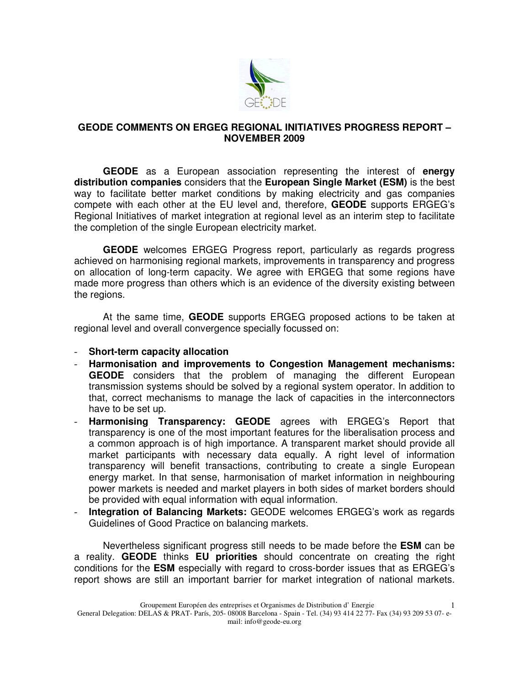

## **GEODE COMMENTS ON ERGEG REGIONAL INITIATIVES PROGRESS REPORT – NOVEMBER 2009**

**GEODE** as a European association representing the interest of **energy distribution companies** considers that the **European Single Market (ESM)** is the best way to facilitate better market conditions by making electricity and gas companies compete with each other at the EU level and, therefore, **GEODE** supports ERGEG's Regional Initiatives of market integration at regional level as an interim step to facilitate the completion of the single European electricity market.

**GEODE** welcomes ERGEG Progress report, particularly as regards progress achieved on harmonising regional markets, improvements in transparency and progress on allocation of long-term capacity. We agree with ERGEG that some regions have made more progress than others which is an evidence of the diversity existing between the regions.

 At the same time, **GEODE** supports ERGEG proposed actions to be taken at regional level and overall convergence specially focussed on:

## - **Short-term capacity allocation**

- **Harmonisation and improvements to Congestion Management mechanisms: GEODE** considers that the problem of managing the different European transmission systems should be solved by a regional system operator. In addition to that, correct mechanisms to manage the lack of capacities in the interconnectors have to be set up.
- **Harmonising Transparency: GEODE** agrees with ERGEG's Report that transparency is one of the most important features for the liberalisation process and a common approach is of high importance. A transparent market should provide all market participants with necessary data equally. A right level of information transparency will benefit transactions, contributing to create a single European energy market. In that sense, harmonisation of market information in neighbouring power markets is needed and market players in both sides of market borders should be provided with equal information with equal information.
- **Integration of Balancing Markets:** GEODE welcomes ERGEG's work as regards Guidelines of Good Practice on balancing markets.

Nevertheless significant progress still needs to be made before the **ESM** can be a reality. **GEODE** thinks **EU priorities** should concentrate on creating the right conditions for the **ESM** especially with regard to cross-border issues that as ERGEG's report shows are still an important barrier for market integration of national markets.